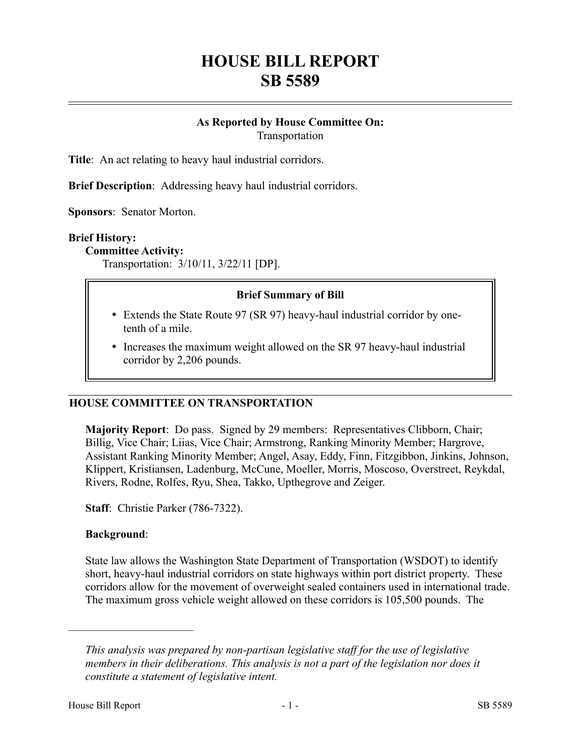# **HOUSE BILL REPORT SB 5589**

## **As Reported by House Committee On:** Transportation

**Title**: An act relating to heavy haul industrial corridors.

**Brief Description**: Addressing heavy haul industrial corridors.

**Sponsors**: Senator Morton.

#### **Brief History:**

#### **Committee Activity:**

Transportation: 3/10/11, 3/22/11 [DP].

## **Brief Summary of Bill**

- Extends the State Route 97 (SR 97) heavy-haul industrial corridor by onetenth of a mile.
- Increases the maximum weight allowed on the SR 97 heavy-haul industrial corridor by 2,206 pounds.

## **HOUSE COMMITTEE ON TRANSPORTATION**

**Majority Report**: Do pass. Signed by 29 members: Representatives Clibborn, Chair; Billig, Vice Chair; Liias, Vice Chair; Armstrong, Ranking Minority Member; Hargrove, Assistant Ranking Minority Member; Angel, Asay, Eddy, Finn, Fitzgibbon, Jinkins, Johnson, Klippert, Kristiansen, Ladenburg, McCune, Moeller, Morris, Moscoso, Overstreet, Reykdal, Rivers, Rodne, Rolfes, Ryu, Shea, Takko, Upthegrove and Zeiger.

**Staff**: Christie Parker (786-7322).

## **Background**:

––––––––––––––––––––––

State law allows the Washington State Department of Transportation (WSDOT) to identify short, heavy-haul industrial corridors on state highways within port district property. These corridors allow for the movement of overweight sealed containers used in international trade. The maximum gross vehicle weight allowed on these corridors is 105,500 pounds. The

*This analysis was prepared by non-partisan legislative staff for the use of legislative members in their deliberations. This analysis is not a part of the legislation nor does it constitute a statement of legislative intent.*